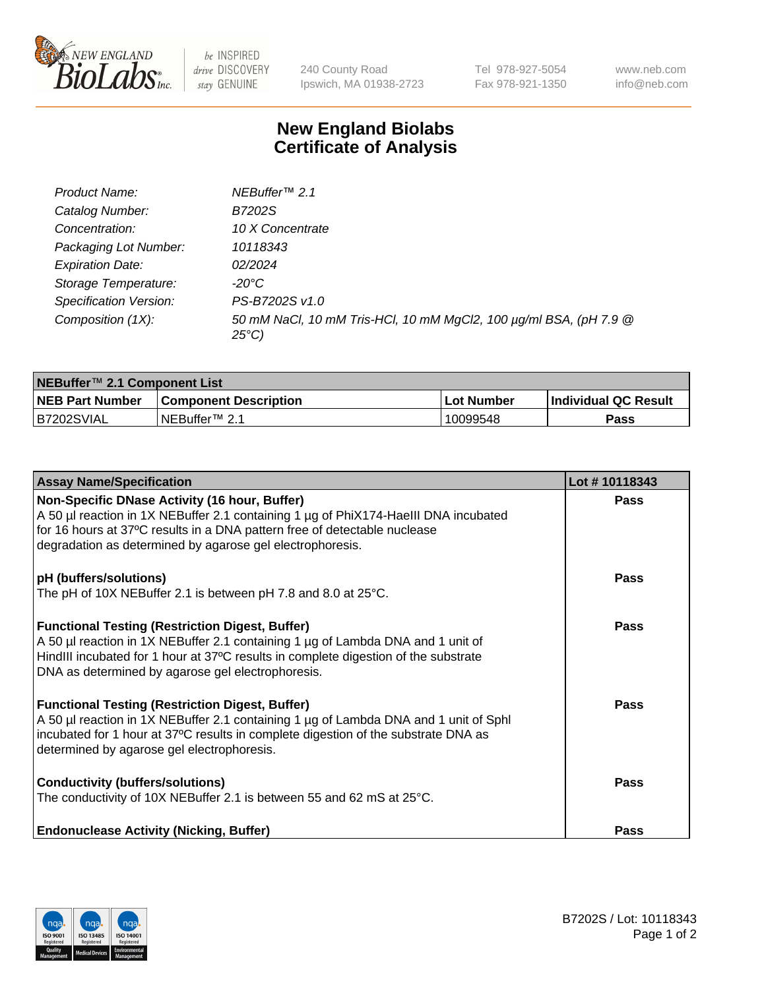

 $be$  INSPIRED drive DISCOVERY stay GENUINE

240 County Road Ipswich, MA 01938-2723 Tel 978-927-5054 Fax 978-921-1350 www.neb.com info@neb.com

## **New England Biolabs Certificate of Analysis**

| Product Name:           | NEBuffer <sup>™</sup> 2.1                                                          |
|-------------------------|------------------------------------------------------------------------------------|
| Catalog Number:         | B7202S                                                                             |
| Concentration:          | 10 X Concentrate                                                                   |
| Packaging Lot Number:   | 10118343                                                                           |
| <b>Expiration Date:</b> | 02/2024                                                                            |
| Storage Temperature:    | -20°C                                                                              |
| Specification Version:  | PS-B7202S v1.0                                                                     |
| Composition (1X):       | 50 mM NaCl, 10 mM Tris-HCl, 10 mM MgCl2, 100 µg/ml BSA, (pH 7.9 @<br>$25^{\circ}C$ |

| NEBuffer™ 2.1 Component List |                              |            |                             |  |  |
|------------------------------|------------------------------|------------|-----------------------------|--|--|
| <b>NEB Part Number</b>       | <b>Component Description</b> | Lot Number | <b>Individual QC Result</b> |  |  |
| B7202SVIAL                   | INEBuffer™ 2.1               | 10099548   | Pass                        |  |  |

| <b>Assay Name/Specification</b>                                                                                                                                                                                                                                                       | Lot #10118343 |
|---------------------------------------------------------------------------------------------------------------------------------------------------------------------------------------------------------------------------------------------------------------------------------------|---------------|
| Non-Specific DNase Activity (16 hour, Buffer)<br>A 50 µl reaction in 1X NEBuffer 2.1 containing 1 µg of PhiX174-Haelll DNA incubated<br>for 16 hours at 37°C results in a DNA pattern free of detectable nuclease<br>degradation as determined by agarose gel electrophoresis.        | <b>Pass</b>   |
| pH (buffers/solutions)<br>The pH of 10X NEBuffer 2.1 is between pH 7.8 and 8.0 at $25^{\circ}$ C.                                                                                                                                                                                     | <b>Pass</b>   |
| <b>Functional Testing (Restriction Digest, Buffer)</b><br>A 50 µl reaction in 1X NEBuffer 2.1 containing 1 µg of Lambda DNA and 1 unit of<br>HindIII incubated for 1 hour at 37°C results in complete digestion of the substrate<br>DNA as determined by agarose gel electrophoresis. | Pass          |
| <b>Functional Testing (Restriction Digest, Buffer)</b><br>A 50 µl reaction in 1X NEBuffer 2.1 containing 1 µg of Lambda DNA and 1 unit of Sphl<br>incubated for 1 hour at 37°C results in complete digestion of the substrate DNA as<br>determined by agarose gel electrophoresis.    | Pass          |
| <b>Conductivity (buffers/solutions)</b><br>The conductivity of 10X NEBuffer 2.1 is between 55 and 62 mS at 25°C.                                                                                                                                                                      | Pass          |
| <b>Endonuclease Activity (Nicking, Buffer)</b>                                                                                                                                                                                                                                        | Pass          |